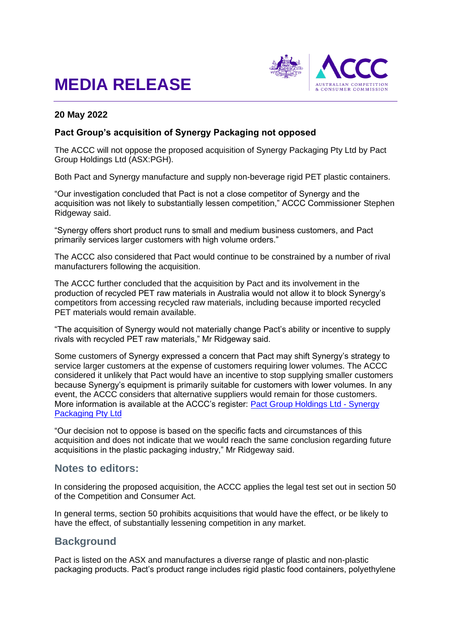# **MEDIA RELEASE**



#### **20 May 2022**

#### **Pact Group's acquisition of Synergy Packaging not opposed**

The ACCC will not oppose the proposed acquisition of Synergy Packaging Pty Ltd by Pact Group Holdings Ltd (ASX:PGH).

Both Pact and Synergy manufacture and supply non-beverage rigid PET plastic containers.

"Our investigation concluded that Pact is not a close competitor of Synergy and the acquisition was not likely to substantially lessen competition," ACCC Commissioner Stephen Ridgeway said.

"Synergy offers short product runs to small and medium business customers, and Pact primarily services larger customers with high volume orders."

The ACCC also considered that Pact would continue to be constrained by a number of rival manufacturers following the acquisition.

The ACCC further concluded that the acquisition by Pact and its involvement in the production of recycled PET raw materials in Australia would not allow it to block Synergy's competitors from accessing recycled raw materials, including because imported recycled PET materials would remain available.

"The acquisition of Synergy would not materially change Pact's ability or incentive to supply rivals with recycled PET raw materials," Mr Ridgeway said.

Some customers of Synergy expressed a concern that Pact may shift Synergy's strategy to service larger customers at the expense of customers requiring lower volumes. The ACCC considered it unlikely that Pact would have an incentive to stop supplying smaller customers because Synergy's equipment is primarily suitable for customers with lower volumes. In any event, the ACCC considers that alternative suppliers would remain for those customers. More information is available at the ACCC's register: [Pact Group Holdings Ltd -](https://www.accc.gov.au/public-registers/mergers-registers/public-informal-merger-reviews/pact-group-holdings-ltd-synergy-packaging-pty-ltd) Synergy [Packaging Pty Ltd](https://www.accc.gov.au/public-registers/mergers-registers/public-informal-merger-reviews/pact-group-holdings-ltd-synergy-packaging-pty-ltd)

"Our decision not to oppose is based on the specific facts and circumstances of this acquisition and does not indicate that we would reach the same conclusion regarding future acquisitions in the plastic packaging industry," Mr Ridgeway said.

## **Notes to editors:**

In considering the proposed acquisition, the ACCC applies the legal test set out in section 50 of the Competition and Consumer Act.

In general terms, section 50 prohibits acquisitions that would have the effect, or be likely to have the effect, of substantially lessening competition in any market.

### **Background**

Pact is listed on the ASX and manufactures a diverse range of plastic and non-plastic packaging products. Pact's product range includes rigid plastic food containers, polyethylene